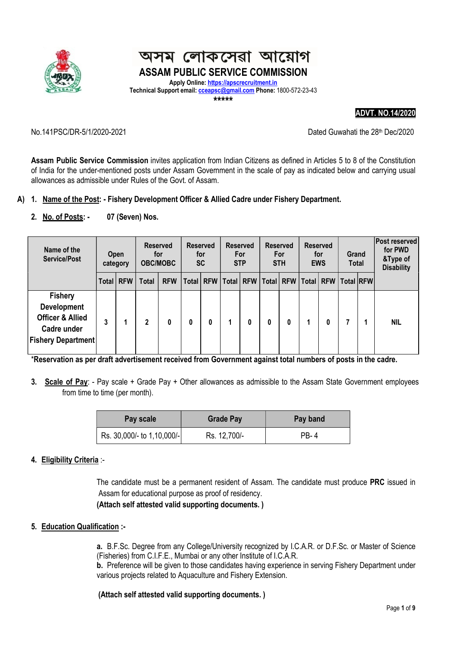

#### লোকসেৱা আয়োগ অসম ASSAM PUBLIC SERVICE COMMISSION

Apply Online: https://apscrecruitment.in Technical Support email: cceapsc@gmail.com Phone: 1800-572-23-43 \*\*\*\*\*

ADVT. NO.14/2020

No. 141PSC/DR-5/1/2020-2021 20:00 Dated Guwahati the 28<sup>th</sup> Dec/2020

Assam Public Service Commission invites application from Indian Citizens as defined in Articles 5 to 8 of the Constitution of India for the under-mentioned posts under Assam Government in the scale of pay as indicated below and carrying usual allowances as admissible under Rules of the Govt. of Assam.

#### A) 1. Name of the Post: - Fishery Development Officer & Allied Cadre under Fishery Department.

2. No. of Posts: - 07 (Seven) Nos.

| Name of the<br><b>Service/Post</b>                                                                              | <b>Open</b><br>category |             |              |            |       |   |                          |   |   |             | <b>Reserved</b><br><b>Reserved</b><br>for<br>for<br><b>OBC/MOBC</b><br><b>SC</b> |             | <b>Reserved</b><br><b>For</b><br><b>STP</b> |  | <b>Reserved</b><br><b>For</b><br><b>STH</b> |  | <b>Reserved</b><br>for<br><b>EWS</b> |  | Grand<br><b>Total</b> |  | <b>Post reserved</b><br>for PWD<br>&Type of<br><b>Disability</b> |
|-----------------------------------------------------------------------------------------------------------------|-------------------------|-------------|--------------|------------|-------|---|--------------------------|---|---|-------------|----------------------------------------------------------------------------------|-------------|---------------------------------------------|--|---------------------------------------------|--|--------------------------------------|--|-----------------------|--|------------------------------------------------------------------|
|                                                                                                                 |                         | Total   RFW | <b>Total</b> | <b>RFW</b> | Total |   | <b>RFW   Total   RFW</b> |   |   | Total   RFW |                                                                                  | Total   RFW | Total RFW                                   |  |                                             |  |                                      |  |                       |  |                                                                  |
| <b>Fishery</b><br><b>Development</b><br><b>Officer &amp; Allied</b><br>Cadre under<br><b>Fishery Department</b> | 3                       |             | $\mathbf{2}$ | 0          | 0     | 0 | 1                        | 0 | 0 | 0           |                                                                                  | 0           |                                             |  | <b>NIL</b>                                  |  |                                      |  |                       |  |                                                                  |

\*Reservation as per draft advertisement received from Government against total numbers of posts in the cadre.

3. Scale of Pay: - Pay scale + Grade Pay + Other allowances as admissible to the Assam State Government employees from time to time (per month).

| Pay scale                  | <b>Grade Pay</b> | Pay band |  |  |  |
|----------------------------|------------------|----------|--|--|--|
| Rs. 30,000/- to 1,10,000/- | Rs. 12,700/-     | PR-4     |  |  |  |

#### 4. Eligibility Criteria :-

The candidate must be a permanent resident of Assam. The candidate must produce PRC issued in Assam for educational purpose as proof of residency.

(Attach self attested valid supporting documents. )

#### 5. Education Qualification :-

a. B.F.Sc. Degree from any College/University recognized by I.C.A.R. or D.F.Sc. or Master of Science (Fisheries) from C.I.F.E., Mumbai or any other Institute of I.C.A.R.

b. Preference will be given to those candidates having experience in serving Fishery Department under various projects related to Aquaculture and Fishery Extension.

(Attach self attested valid supporting documents. )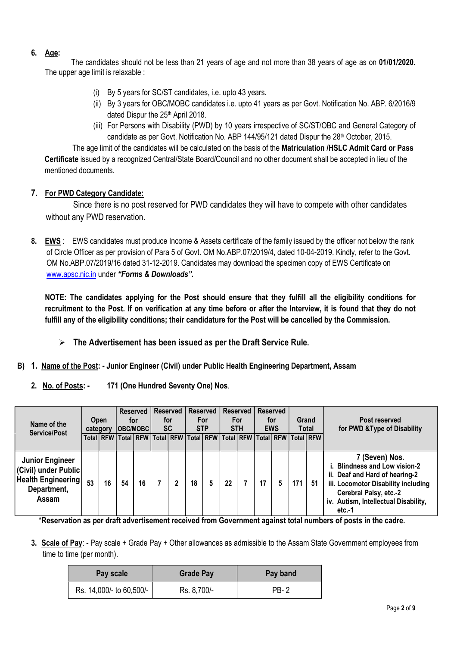## 6. Age:

 The candidates should not be less than 21 years of age and not more than 38 years of age as on 01/01/2020. The upper age limit is relaxable :

- (i) By 5 years for SC/ST candidates, i.e. upto 43 years.
- (ii) By 3 years for OBC/MOBC candidates i.e. upto 41 years as per Govt. Notification No. ABP. 6/2016/9 dated Dispur the 25<sup>th</sup> April 2018.
- (iii) For Persons with Disability (PWD) by 10 years irrespective of SC/ST/OBC and General Category of candidate as per Govt. Notification No. ABP 144/95/121 dated Dispur the 28<sup>th</sup> October, 2015.

The age limit of the candidates will be calculated on the basis of the Matriculation /HSLC Admit Card or Pass Certificate issued by a recognized Central/State Board/Council and no other document shall be accepted in lieu of the mentioned documents.

## 7. For PWD Category Candidate:

 Since there is no post reserved for PWD candidates they will have to compete with other candidates without any PWD reservation.

8. EWS : EWS candidates must produce Income & Assets certificate of the family issued by the officer not below the rank of Circle Officer as per provision of Para 5 of Govt. OM No.ABP.07/2019/4, dated 10-04-2019. Kindly, refer to the Govt. OM No.ABP.07/2019/16 dated 31-12-2019. Candidates may download the specimen copy of EWS Certificate on www.apsc.nic.in under "Forms & Downloads".

NOTE: The candidates applying for the Post should ensure that they fulfill all the eligibility conditions for recruitment to the Post. If on verification at any time before or after the Interview, it is found that they do not fulfill any of the eligibility conditions; their candidature for the Post will be cancelled by the Commission.

- $\triangleright$  The Advertisement has been issued as per the Draft Service Rule.
- B) 1. Name of the Post: Junior Engineer (Civil) under Public Health Engineering Department, Assam
	- 2. No. of Posts: 171 (One Hundred Seventy One) Nos.

| Name of the<br><b>Service/Post</b>                                                                  | <b>Open</b><br>category |             |    |    |                                                                                   |    |  |    | <b>OBC/MOBCI</b> | <b>Reserved</b><br>for | <b>Reserved</b><br>for<br><b>SC</b> |     | Reserved  <br>For<br><b>STP</b> |                                                                                                                                                                                                      | <b>Reserved</b><br>For<br><b>STH</b> | Reserved | for<br><b>EWS</b> |  | Grand<br><b>Total</b> | Post reserved<br>for PWD & Type of Disability |
|-----------------------------------------------------------------------------------------------------|-------------------------|-------------|----|----|-----------------------------------------------------------------------------------|----|--|----|------------------|------------------------|-------------------------------------|-----|---------------------------------|------------------------------------------------------------------------------------------------------------------------------------------------------------------------------------------------------|--------------------------------------|----------|-------------------|--|-----------------------|-----------------------------------------------|
|                                                                                                     |                         | Total   RFW |    |    | Total   RFW   Total   RFW   Total   RFW   Total   RFW   Total   RFW   Total   RFW |    |  |    |                  |                        |                                     |     |                                 |                                                                                                                                                                                                      |                                      |          |                   |  |                       |                                               |
| <b>Junior Engineer</b><br>(Civil) under Public<br><b>Health Engineering</b><br>Department,<br>Assam | 53                      | 16          | 54 | 16 | 2                                                                                 | 18 |  | 22 |                  | 17                     | 5                                   | 171 | 51                              | 7 (Seven) Nos.<br>i. Blindness and Low vision-2<br>ii. Deaf and Hard of hearing-2<br>iii. Locomotor Disability including<br>Cerebral Palsy, etc.-2<br>iv. Autism, Intellectual Disability,<br>etc.-1 |                                      |          |                   |  |                       |                                               |

\*Reservation as per draft advertisement received from Government against total numbers of posts in the cadre.

3. Scale of Pay: - Pay scale + Grade Pay + Other allowances as admissible to the Assam State Government employees from time to time (per month).

| <b>Pay scale</b>         | <b>Grade Pay</b> | Pay band    |  |  |  |  |
|--------------------------|------------------|-------------|--|--|--|--|
| Rs. 14,000/- to 60,500/- | Rs. 8,700/-      | <b>PB-2</b> |  |  |  |  |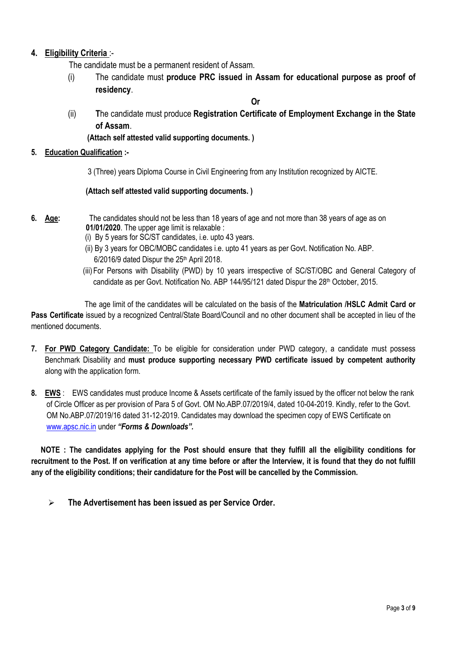# 4. Eligibility Criteria:-

The candidate must be a permanent resident of Assam.

(i) The candidate must produce PRC issued in Assam for educational purpose as proof of residency.

Or

(ii) The candidate must produce Registration Certificate of Employment Exchange in the State of Assam.

(Attach self attested valid supporting documents. )

## 5. Education Qualification :-

3 (Three) years Diploma Course in Civil Engineering from any Institution recognized by AICTE.

#### (Attach self attested valid supporting documents. )

- 6. Age: The candidates should not be less than 18 years of age and not more than 38 years of age as on 01/01/2020. The upper age limit is relaxable :
	- (i) By 5 years for SC/ST candidates, i.e. upto 43 years.
	- (ii) By 3 years for OBC/MOBC candidates i.e. upto 41 years as per Govt. Notification No. ABP. 6/2016/9 dated Dispur the 25th April 2018.
	- (iii)For Persons with Disability (PWD) by 10 years irrespective of SC/ST/OBC and General Category of candidate as per Govt. Notification No. ABP 144/95/121 dated Dispur the 28th October, 2015.

 The age limit of the candidates will be calculated on the basis of the Matriculation /HSLC Admit Card or Pass Certificate issued by a recognized Central/State Board/Council and no other document shall be accepted in lieu of the mentioned documents.

- 7. For PWD Category Candidate: To be eligible for consideration under PWD category, a candidate must possess Benchmark Disability and must produce supporting necessary PWD certificate issued by competent authority along with the application form.
- 8. EWS : EWS candidates must produce Income & Assets certificate of the family issued by the officer not below the rank of Circle Officer as per provision of Para 5 of Govt. OM No.ABP.07/2019/4, dated 10-04-2019. Kindly, refer to the Govt. OM No.ABP.07/2019/16 dated 31-12-2019. Candidates may download the specimen copy of EWS Certificate on www.apsc.nic.in under "Forms & Downloads".

 NOTE : The candidates applying for the Post should ensure that they fulfill all the eligibility conditions for recruitment to the Post. If on verification at any time before or after the Interview, it is found that they do not fulfill any of the eligibility conditions; their candidature for the Post will be cancelled by the Commission.

 $\triangleright$  The Advertisement has been issued as per Service Order.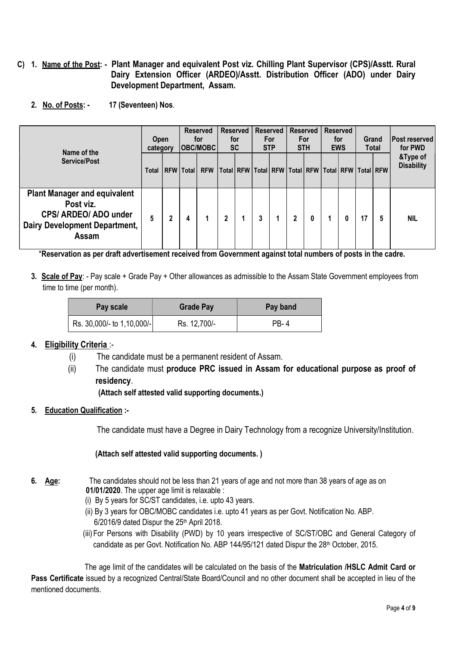- C) 1. Name of the Post: Plant Manager and equivalent Post viz. Chilling Plant Supervisor (CPS)/Asstt. Rural Dairy Extension Officer (ARDEO)/Asstt. Distribution Officer (ADO) under Dairy Development Department, Assam.
	- 2. No. of Posts: 17 (Seventeen) Nos.

| Name of the                                                                                                         |   | <b>Reserved</b><br><b>Open</b><br>for<br> OBC/MOBC <br>category |             |            | <b>Reserved</b><br>for<br><b>SC</b> |  | Reserved<br>For<br><b>STP</b> |                                       | <b>Reserved</b><br><b>For</b><br><b>STH</b> |   | <b>Reserved</b><br>for<br><b>EWS</b> |           | Grand<br>Total |   | <b>Post reserved</b><br>for PWD |
|---------------------------------------------------------------------------------------------------------------------|---|-----------------------------------------------------------------|-------------|------------|-------------------------------------|--|-------------------------------|---------------------------------------|---------------------------------------------|---|--------------------------------------|-----------|----------------|---|---------------------------------|
| Service/Post                                                                                                        |   |                                                                 | RFW   Total | <b>RFW</b> |                                     |  |                               | Total RFW   Total   RFW   Total   RFW |                                             |   |                                      | Total RFW | Total RFW      |   | &Type of<br><b>Disability</b>   |
| <b>Plant Manager and equivalent</b><br>Post viz.<br>CPS/ ARDEO/ ADO under<br>Dairy Development Department,<br>Assam | 5 | 2                                                               | 4           |            | 2                                   |  | 3                             |                                       | $\mathbf{2}$                                | 0 |                                      |           | 17             | 5 | <b>NIL</b>                      |

\*Reservation as per draft advertisement received from Government against total numbers of posts in the cadre.

3. Scale of Pay: - Pay scale + Grade Pay + Other allowances as admissible to the Assam State Government employees from time to time (per month).

| Pay scale                  | <b>Grade Pay</b> | Pay band |  |  |  |  |
|----------------------------|------------------|----------|--|--|--|--|
| Rs. 30,000/- to 1,10,000/- | Rs. 12,700/-     | PR-4     |  |  |  |  |

## 4. Eligibility Criteria :-

- (i) The candidate must be a permanent resident of Assam.
- (ii) The candidate must produce PRC issued in Assam for educational purpose as proof of residency.

(Attach self attested valid supporting documents.)

5. Education Qualification :-

The candidate must have a Degree in Dairy Technology from a recognize University/Institution.

(Attach self attested valid supporting documents. )

- 6. Age: The candidates should not be less than 21 years of age and not more than 38 years of age as on 01/01/2020. The upper age limit is relaxable :
	- (i) By 5 years for SC/ST candidates, i.e. upto 43 years.
	- (ii) By 3 years for OBC/MOBC candidates i.e. upto 41 years as per Govt. Notification No. ABP. 6/2016/9 dated Dispur the 25th April 2018.
	- (iii)For Persons with Disability (PWD) by 10 years irrespective of SC/ST/OBC and General Category of candidate as per Govt. Notification No. ABP 144/95/121 dated Dispur the 28<sup>th</sup> October, 2015.

 The age limit of the candidates will be calculated on the basis of the Matriculation /HSLC Admit Card or Pass Certificate issued by a recognized Central/State Board/Council and no other document shall be accepted in lieu of the mentioned documents.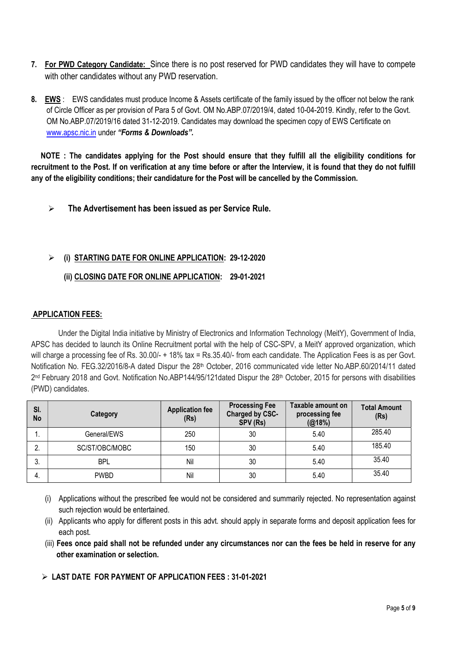- 7. For PWD Category Candidate: Since there is no post reserved for PWD candidates they will have to compete with other candidates without any PWD reservation.
- 8. EWS : EWS candidates must produce Income & Assets certificate of the family issued by the officer not below the rank of Circle Officer as per provision of Para 5 of Govt. OM No.ABP.07/2019/4, dated 10-04-2019. Kindly, refer to the Govt. OM No.ABP.07/2019/16 dated 31-12-2019. Candidates may download the specimen copy of EWS Certificate on www.apsc.nic.in under "Forms & Downloads".

 NOTE : The candidates applying for the Post should ensure that they fulfill all the eligibility conditions for recruitment to the Post. If on verification at any time before or after the Interview, it is found that they do not fulfill any of the eligibility conditions; their candidature for the Post will be cancelled by the Commission.

 $\triangleright$  The Advertisement has been issued as per Service Rule.

## $\geq$  (i) STARTING DATE FOR ONLINE APPLICATION: 29-12-2020

## (ii) CLOSING DATE FOR ONLINE APPLICATION: 29-01-2021

## APPLICATION FEES:

Under the Digital India initiative by Ministry of Electronics and Information Technology (MeitY), Government of India, APSC has decided to launch its Online Recruitment portal with the help of CSC-SPV, a MeitY approved organization, which will charge a processing fee of Rs. 30.00/- + 18% tax = Rs.35.40/- from each candidate. The Application Fees is as per Govt. Notification No. FEG.32/2016/8-A dated Dispur the 28<sup>th</sup> October, 2016 communicated vide letter No.ABP.60/2014/11 dated 2<sup>nd</sup> February 2018 and Govt. Notification No.ABP144/95/121dated Dispur the 28<sup>th</sup> October, 2015 for persons with disabilities (PWD) candidates.

| SI.<br>No | Category       | <b>Application fee</b><br>(Rs) | <b>Processing Fee</b><br>Charged by CSC-<br>SPV (Rs) | Taxable amount on<br>processing fee<br>(@18%) | <b>Total Amount</b><br>(Rs) |
|-----------|----------------|--------------------------------|------------------------------------------------------|-----------------------------------------------|-----------------------------|
| . .       | General/EWS    | 250                            | 30                                                   | 5.40                                          | 285.40                      |
| 2.        | SC/ST/OBC/MOBC | 150                            | 30                                                   | 5.40                                          | 185.40                      |
| 3.        | BPL            | Nil                            | 30                                                   | 5.40                                          | 35.40                       |
| 4.        | <b>PWBD</b>    | Nil                            | 30                                                   | 5.40                                          | 35.40                       |

- (i) Applications without the prescribed fee would not be considered and summarily rejected. No representation against such rejection would be entertained.
- (ii) Applicants who apply for different posts in this advt. should apply in separate forms and deposit application fees for each post.
- (iii) Fees once paid shall not be refunded under any circumstances nor can the fees be held in reserve for any other examination or selection.

LAST DATE FOR PAYMENT OF APPLICATION FEES : 31-01-2021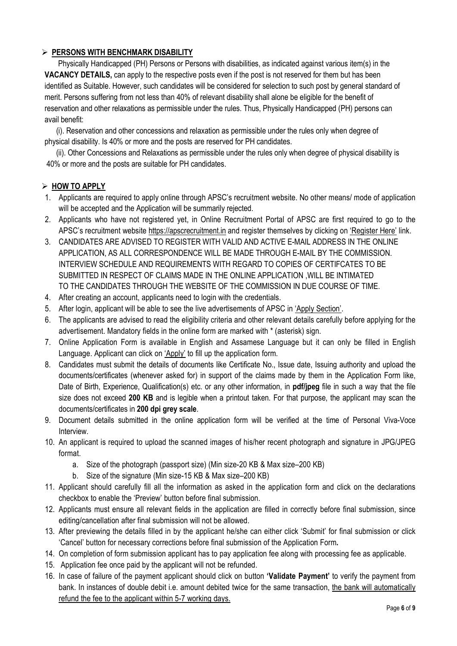## $\triangleright$  PERSONS WITH BENCHMARK DISABILITY

 Physically Handicapped (PH) Persons or Persons with disabilities, as indicated against various item(s) in the VACANCY DETAILS, can apply to the respective posts even if the post is not reserved for them but has been identified as Suitable. However, such candidates will be considered for selection to such post by general standard of merit. Persons suffering from not less than 40% of relevant disability shall alone be eligible for the benefit of reservation and other relaxations as permissible under the rules. Thus, Physically Handicapped (PH) persons can avail benefit:

 (i). Reservation and other concessions and relaxation as permissible under the rules only when degree of physical disability. Is 40% or more and the posts are reserved for PH candidates.

 (ii). Other Concessions and Relaxations as permissible under the rules only when degree of physical disability is 40% or more and the posts are suitable for PH candidates.

## $>$  HOW TO APPLY

- 1. Applicants are required to apply online through APSC's recruitment website. No other means/ mode of application will be accepted and the Application will be summarily rejected.
- 2. Applicants who have not registered yet, in Online Recruitment Portal of APSC are first required to go to the APSC's recruitment website https://apscrecruitment.in and register themselves by clicking on 'Register Here' link.
- 3. CANDIDATES ARE ADVISED TO REGISTER WITH VALID AND ACTIVE E-MAIL ADDRESS IN THE ONLINE APPLICATION, AS ALL CORRESPONDENCE WILL BE MADE THROUGH E-MAIL BY THE COMMISSION. INTERVIEW SCHEDULE AND REQUIREMENTS WITH REGARD TO COPIES OF CERTIFCATES TO BE SUBMITTED IN RESPECT OF CLAIMS MADE IN THE ONLINE APPLICATION ,WILL BE INTIMATED TO THE CANDIDATES THROUGH THE WEBSITE OF THE COMMISSION IN DUE COURSE OF TIME.
- 4. After creating an account, applicants need to login with the credentials.
- 5. After login, applicant will be able to see the live advertisements of APSC in 'Apply Section'.
- 6. The applicants are advised to read the eligibility criteria and other relevant details carefully before applying for the advertisement. Mandatory fields in the online form are marked with \* (asterisk) sign.
- 7. Online Application Form is available in English and Assamese Language but it can only be filled in English Language. Applicant can click on 'Apply' to fill up the application form.
- 8. Candidates must submit the details of documents like Certificate No., Issue date, Issuing authority and upload the documents/certificates (whenever asked for) in support of the claims made by them in the Application Form like, Date of Birth, Experience, Qualification(s) etc. or any other information, in **pdf/jpeg** file in such a way that the file size does not exceed 200 KB and is legible when a printout taken. For that purpose, the applicant may scan the documents/certificates in 200 dpi grey scale.
- 9. Document details submitted in the online application form will be verified at the time of Personal Viva-Voce Interview.
- 10. An applicant is required to upload the scanned images of his/her recent photograph and signature in JPG/JPEG format.
	- a. Size of the photograph (passport size) (Min size-20 KB & Max size–200 KB)
	- b. Size of the signature (Min size-15 KB & Max size–200 KB)
- 11. Applicant should carefully fill all the information as asked in the application form and click on the declarations checkbox to enable the 'Preview' button before final submission.
- 12. Applicants must ensure all relevant fields in the application are filled in correctly before final submission, since editing/cancellation after final submission will not be allowed.
- 13. After previewing the details filled in by the applicant he/she can either click 'Submit' for final submission or click 'Cancel' button for necessary corrections before final submission of the Application Form.
- 14. On completion of form submission applicant has to pay application fee along with processing fee as applicable.
- 15. Application fee once paid by the applicant will not be refunded.
- 16. In case of failure of the payment applicant should click on button 'Validate Payment' to verify the payment from bank. In instances of double debit i.e. amount debited twice for the same transaction, the bank will automatically refund the fee to the applicant within 5-7 working days.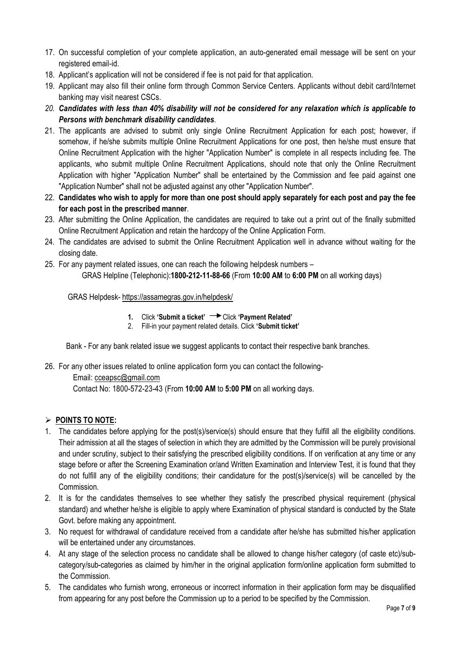- 17. On successful completion of your complete application, an auto-generated email message will be sent on your registered email-id.
- 18. Applicant's application will not be considered if fee is not paid for that application.
- 19. Applicant may also fill their online form through Common Service Centers. Applicants without debit card/Internet banking may visit nearest CSCs.
- 20. Candidates with less than 40% disability will not be considered for any relaxation which is applicable to Persons with benchmark disability candidates.
- 21. The applicants are advised to submit only single Online Recruitment Application for each post; however, if somehow, if he/she submits multiple Online Recruitment Applications for one post, then he/she must ensure that Online Recruitment Application with the higher "Application Number" is complete in all respects including fee. The applicants, who submit multiple Online Recruitment Applications, should note that only the Online Recruitment Application with higher "Application Number" shall be entertained by the Commission and fee paid against one "Application Number" shall not be adjusted against any other "Application Number".
- 22. Candidates who wish to apply for more than one post should apply separately for each post and pay the fee for each post in the prescribed manner.
- 23. After submitting the Online Application, the candidates are required to take out a print out of the finally submitted Online Recruitment Application and retain the hardcopy of the Online Application Form.
- 24. The candidates are advised to submit the Online Recruitment Application well in advance without waiting for the closing date.
- 25. For any payment related issues, one can reach the following helpdesk numbers GRAS Helpline (Telephonic):1800-212-11-88-66 (From 10:00 AM to 6:00 PM on all working days)

#### GRAS Helpdesk- https://assamegras.gov.in/helpdesk/

- 1. Click 'Submit a ticket'  $\rightarrow$  Click 'Payment Related'
- 2. Fill-in your payment related details. Click 'Submit ticket'

Bank - For any bank related issue we suggest applicants to contact their respective bank branches.

26. For any other issues related to online application form you can contact the following- Email: cceapsc@gmail.com

Contact No: 1800-572-23-43 (From 10:00 AM to 5:00 PM on all working days.

## $\triangleright$  POINTS TO NOTE:

- 1. The candidates before applying for the post(s)/service(s) should ensure that they fulfill all the eligibility conditions. Their admission at all the stages of selection in which they are admitted by the Commission will be purely provisional and under scrutiny, subject to their satisfying the prescribed eligibility conditions. If on verification at any time or any stage before or after the Screening Examination or/and Written Examination and Interview Test, it is found that they do not fulfill any of the eligibility conditions; their candidature for the post(s)/service(s) will be cancelled by the Commission.
- 2. It is for the candidates themselves to see whether they satisfy the prescribed physical requirement (physical standard) and whether he/she is eligible to apply where Examination of physical standard is conducted by the State Govt. before making any appointment.
- 3. No request for withdrawal of candidature received from a candidate after he/she has submitted his/her application will be entertained under any circumstances.
- 4. At any stage of the selection process no candidate shall be allowed to change his/her category (of caste etc)/subcategory/sub-categories as claimed by him/her in the original application form/online application form submitted to the Commission.
- 5. The candidates who furnish wrong, erroneous or incorrect information in their application form may be disqualified from appearing for any post before the Commission up to a period to be specified by the Commission.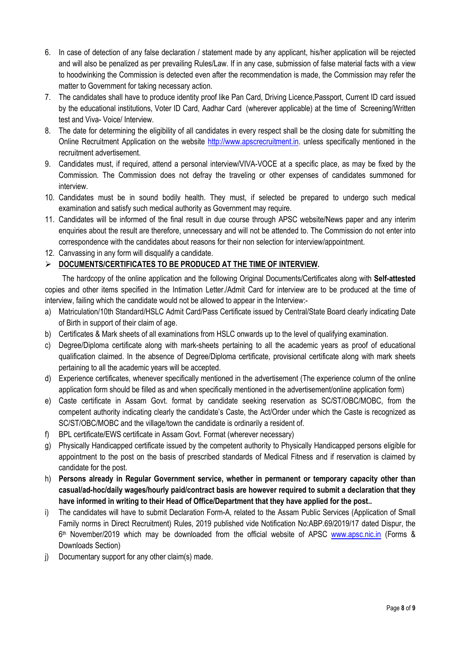- 6. In case of detection of any false declaration / statement made by any applicant, his/her application will be rejected and will also be penalized as per prevailing Rules/Law. If in any case, submission of false material facts with a view to hoodwinking the Commission is detected even after the recommendation is made, the Commission may refer the matter to Government for taking necessary action.
- 7. The candidates shall have to produce identity proof like Pan Card, Driving Licence,Passport, Current ID card issued by the educational institutions, Voter ID Card, Aadhar Card (wherever applicable) at the time of Screening/Written test and Viva- Voice/ Interview.
- 8. The date for determining the eligibility of all candidates in every respect shall be the closing date for submitting the Online Recruitment Application on the website http://www.apscrecruitment.in. unless specifically mentioned in the recruitment advertisement.
- 9. Candidates must, if required, attend a personal interview/VIVA-VOCE at a specific place, as may be fixed by the Commission. The Commission does not defray the traveling or other expenses of candidates summoned for interview.
- 10. Candidates must be in sound bodily health. They must, if selected be prepared to undergo such medical examination and satisfy such medical authority as Government may require.
- 11. Candidates will be informed of the final result in due course through APSC website/News paper and any interim enquiries about the result are therefore, unnecessary and will not be attended to. The Commission do not enter into correspondence with the candidates about reasons for their non selection for interview/appointment.
- 12. Canvassing in any form will disqualify a candidate.

# **DOCUMENTS/CERTIFICATES TO BE PRODUCED AT THE TIME OF INTERVIEW.**

The hardcopy of the online application and the following Original Documents/Certificates along with Self-attested copies and other items specified in the Intimation Letter./Admit Card for interview are to be produced at the time of interview, failing which the candidate would not be allowed to appear in the Interview:-

- a) Matriculation/10th Standard/HSLC Admit Card/Pass Certificate issued by Central/State Board clearly indicating Date of Birth in support of their claim of age.
- b) Certificates & Mark sheets of all examinations from HSLC onwards up to the level of qualifying examination.
- c) Degree/Diploma certificate along with mark-sheets pertaining to all the academic years as proof of educational qualification claimed. In the absence of Degree/Diploma certificate, provisional certificate along with mark sheets pertaining to all the academic years will be accepted.
- d) Experience certificates, whenever specifically mentioned in the advertisement (The experience column of the online application form should be filled as and when specifically mentioned in the advertisement/online application form)
- e) Caste certificate in Assam Govt. format by candidate seeking reservation as SC/ST/OBC/MOBC, from the competent authority indicating clearly the candidate's Caste, the Act/Order under which the Caste is recognized as SC/ST/OBC/MOBC and the village/town the candidate is ordinarily a resident of.
- f) BPL certificate/EWS certificate in Assam Govt. Format (wherever necessary)
- g) Physically Handicapped certificate issued by the competent authority to Physically Handicapped persons eligible for appointment to the post on the basis of prescribed standards of Medical Fitness and if reservation is claimed by candidate for the post.
- h) Persons already in Regular Government service, whether in permanent or temporary capacity other than casual/ad-hoc/daily wages/hourly paid/contract basis are however required to submit a declaration that they have informed in writing to their Head of Office/Department that they have applied for the post..
- i) The candidates will have to submit Declaration Form-A, related to the Assam Public Services (Application of Small Family norms in Direct Recruitment) Rules, 2019 published vide Notification No:ABP.69/2019/17 dated Dispur, the 6<sup>th</sup> November/2019 which may be downloaded from the official website of APSC www.apsc.nic.in (Forms & Downloads Section)
- j) Documentary support for any other claim(s) made.